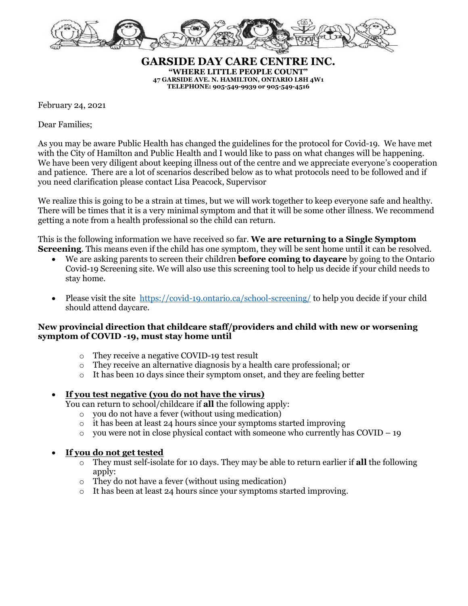

**GARSIDE DAY CARE CENTRE INC. "WHERE LITTLE PEOPLE COUNT" 47 GARSIDE AVE. N. HAMILTON, ONTARIO L8H 4W1 TELEPHONE: 905-549-9939 or 905-549-4516**

February 24, 2021

Dear Families;

As you may be aware Public Health has changed the guidelines for the protocol for Covid-19. We have met with the City of Hamilton and Public Health and I would like to pass on what changes will be happening. We have been very diligent about keeping illness out of the centre and we appreciate everyone's cooperation and patience. There are a lot of scenarios described below as to what protocols need to be followed and if you need clarification please contact Lisa Peacock, Supervisor

We realize this is going to be a strain at times, but we will work together to keep everyone safe and healthy. There will be times that it is a very minimal symptom and that it will be some other illness. We recommend getting a note from a health professional so the child can return.

This is the following information we have received so far. **We are returning to a Single Symptom Screening**. This means even if the child has one symptom, they will be sent home until it can be resolved.

- We are asking parents to screen their children **before coming to daycare** by going to the Ontario Covid-19 Screening site. We will also use this screening tool to help us decide if your child needs to stay home.
- Please visit the site <https://covid-19.ontario.ca/school-screening/> to help you decide if your child should attend daycare.

## **New provincial direction that childcare staff/providers and child with new or worsening symptom of COVID -19, must stay home until**

- o They receive a negative COVID-19 test result
- o They receive an alternative diagnosis by a health care professional; or
- o It has been 10 days since their symptom onset, and they are feeling better

## • **If you test negative (you do not have the virus)**

You can return to school/childcare if **all** the following apply:

- o you do not have a fever (without using medication)
- o it has been at least 24 hours since your symptoms started improving
- $\circ$  you were not in close physical contact with someone who currently has COVID 19

## • **If you do not get tested**

- o They must self-isolate for 10 days. They may be able to return earlier if **all** the following apply:
- o They do not have a fever (without using medication)
- $\circ$  It has been at least 24 hours since your symptoms started improving.